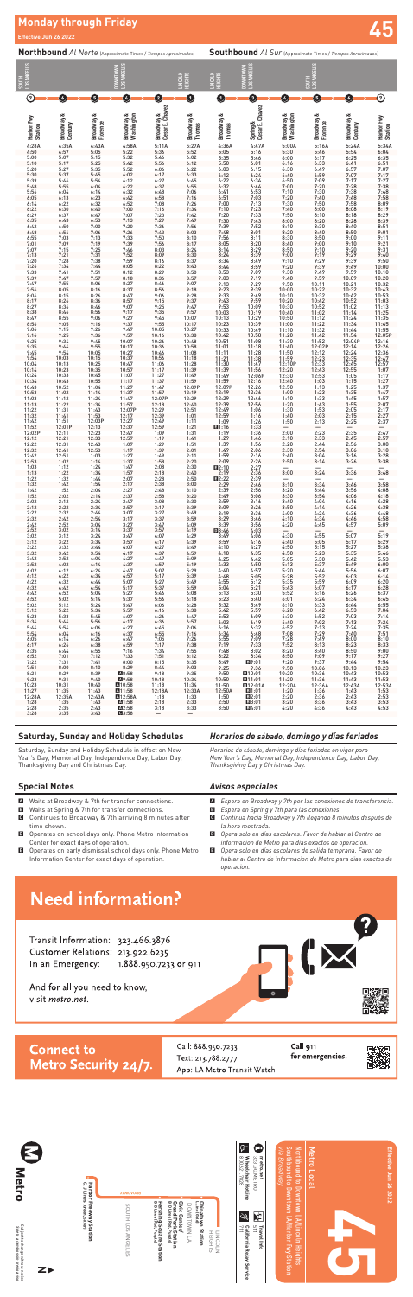

# **Monday through Friday Effective Jun 26 2022 45**

| Northbound Al Norte (Approximate Times / Tiempos Aproximados) |                             |                              |                                      |                                          | <b>Southbound</b> Al Sur (Approximate Times / Tiempos Aproximados) |                                                     |                                                     |                                  |                              |                             |                            |
|---------------------------------------------------------------|-----------------------------|------------------------------|--------------------------------------|------------------------------------------|--------------------------------------------------------------------|-----------------------------------------------------|-----------------------------------------------------|----------------------------------|------------------------------|-----------------------------|----------------------------|
| SOUTH<br>LOS ANGELES                                          |                             |                              | <b>Pouville Viver</b><br><b>MOLN</b> |                                          | <b>LINCOLN</b><br>HEIGHTS                                          | LINCOLN<br>HEIGHTS                                  | DOWNTOWN<br>LOS ANGELES                             |                                  | LOS ANGELES<br>mings         |                             |                            |
| の                                                             | G                           | 6                            | $\overline{a}$                       | $\mathbf{\Omega}$                        | O                                                                  | O                                                   | O                                                   | Ø                                | 6                            | O                           | $\odot$                    |
| Harbor Fwy<br>Station                                         | ంర<br>Broadway &<br>Century | ంర<br>Broadway &<br>Florence | Broadway &<br>Washington             | Cesar E. Chavez<br><b>Broadway &amp;</b> | Broadway &<br>Thomas                                               | ಂರ<br>Broadway &<br>Thomas                          | Spring &<br>Cesar E. Chavez                         | Broadway &<br>Washington         | ంర<br>Broadway &<br>Florence | ంర<br>Broadway &<br>Century | Harbor Fwy<br>Station      |
| 4:28A<br>4:50                                                 | 4:35A<br>4:57               | 4:43A<br>5:05                | 4:58A<br>5:22                        | 5:11A<br>5:36                            | 5:27A<br>5:52                                                      | 4:36A<br>5:05<br>5:35                               | 4:47A<br>5:16<br>5:46                               | 5:00A<br>5:30<br>6:00            | 5:16A<br>5:46                | 5:24A<br>5:54<br>6:25       | 5:34A<br>6:04              |
| 5:00<br>5:10                                                  | 5:07<br>5:17                | 5:15<br>5:25                 | 5:32<br>5:42                         | 5:46<br>5:56                             | 6:02<br>6:12                                                       | 5:50                                                | 6:01                                                | 6:16                             | 6:17<br>6:33                 | 6:41                        | 6:35<br>6:51               |
| 5:20<br>5:30                                                  | 5:27<br>5:37                | 5:35<br>5:45                 | 5:52<br>6:02                         | 6:06<br>6:17                             | 6:22<br>6:33                                                       | $6:03$<br>$6:12$                                    | $6:15$<br>$6:24$                                    | $6:30$<br>$6:40$                 | 6:49<br>6:59                 | 6:57<br>7:07                | 7:07<br>7:17               |
| 5:39<br>5:48                                                  | 5:46<br>5:55                | 5:54<br>6:04                 | 6:12<br>6:22                         | 6:27<br>6:37                             | 6:45<br>6:55                                                       | 6:22<br>$6:32$<br>$6:41$                            | 6:34<br>$6:44$<br>$6:53$                            | 6:50<br>7:00                     | 7:09<br>7:20                 | 7:17<br>7:28                | 7:27<br>7:38<br>7:48       |
| 5:56<br>6:05                                                  | 6:04<br>6:13                | 6:14<br>6:23                 | 6:32<br>6:42                         | 6:48<br>6:58                             | 7:06<br>7:16                                                       | 6:51                                                | 7:03                                                | 7:10<br>7:20                     | 7:30<br>7:40                 | 7:38<br>7:48                | 7:58                       |
| 6:14<br>6:22                                                  | 6:22<br>6:30                | 6:32<br>6:40                 | 6:52<br>7:00                         | 7:08<br>7:16                             | 7:26<br>7:34                                                       | 7:00<br>7:10                                        | 7:13<br>7:23                                        | 7:30<br>7:40                     | 7:50<br>8:00                 | 7:58<br>8:08                | 8:09<br>8:19               |
| 6:29<br>6:35                                                  | 6:37<br>6:43                | 6:47<br>6:53                 | 7:07<br>7:13                         | 7:23<br>7:29                             | 7:42<br>7:49                                                       | 7:20<br>7:30<br>7:39                                | 7:33<br>7:43<br>7:52                                | 7:50<br>8:00                     | 8:10<br>8:20                 | 8:18<br>8:28                | 8:29<br>8:39               |
| 6:42<br>6:48                                                  | 6:50<br>6:56                | 7:00<br>7:06                 | 7:20<br>7:26                         | 7:36<br>7:43                             | 7:56<br>8:03                                                       | 7:48                                                | 8:01                                                | 8:10<br>8:20                     | 8:30<br>8:40                 | 8:40<br>8:50                | 8:51<br>9:01               |
| 6:55<br>7:01                                                  | 7:03<br>7:09                | 7:13<br>7:19                 | 7:33<br>7:39                         | 7:50<br>7:56                             | 8:10<br>8:17                                                       | $7:56$<br>8:05                                      | $8:11$<br>$8:20$                                    | 8:30<br>8:40                     | 8:50<br>9:00                 | 9:00<br>9:10                | $9:11$<br>$9:21$           |
| 7:07<br>7:13                                                  | 7:15<br>7:21                | 7:25<br>7:31                 | 7:46<br>7:52                         | 8:03<br>8:09                             | 8:24<br>8:30                                                       | 8:14                                                | 8:29                                                | 8:50<br>9:00                     | 9:10<br>9:19                 | 9:20<br>9:29                | 9:31<br>9:40               |
| 7:20<br>7:26                                                  | 7:28<br>7:34                | 7:38<br>7:44                 | 7:59<br>8:05                         | 8:16<br>8:22                             | 8:37<br>8:43                                                       | 8:24<br>8:34<br>8:44                                | 8:39<br>8:49<br>8:59                                | 9:10<br>9:20                     | 9:29<br>9:39                 | 9:39<br>9:49                | 9:50<br>10:00              |
| 7:33<br>7:39                                                  | 7:41<br>7:47                | 7:51<br>7:57                 | 8:12<br>8:18                         | 8:29<br>8:36                             | 8:50<br>8:57                                                       | 8:53<br>9:03                                        | 9:09<br>9:19                                        | 9:30<br>9:40                     | 9:49<br>9:59                 | 9:59<br>10:09               | 10:10<br>10:20             |
| 7:47<br>7:56                                                  | 7:55<br>8:05                | 8:06<br>8:16                 | 8:27<br>8:37                         | 8:46<br>8:56                             | 9:07<br>9:18                                                       | 9:13                                                | 9:29<br>9:39                                        | 9:50<br>10:00                    | 10:11<br>10:22               | 10:21<br>10:32              | 10:32<br>10:43             |
| 8:06<br>8:17                                                  | 8:15<br>8:26                | 8:26<br>8:36                 | 8:47<br>8:57                         | 9:06<br>9:15                             | 9:28<br>9:37                                                       | 9:23<br>9:33<br>9:43                                | 9:49<br>9:59                                        | 10:10<br>10:20                   | 10:32<br>10:42               | 10:42<br>10:52              | 10:53<br>11:03             |
| 8:27<br>8:38                                                  | 8:36<br>8:46                | 8:46<br>8:56                 | 9:07<br>9:17                         | 9:25<br>9:35                             | 9:47<br>9:57                                                       | 9:53<br>10:03                                       | 10:09<br>10:19                                      | 10:30<br>10:40                   | 10:52<br>11:02               | 11:02<br>11:14              | 11:13<br>11:25             |
| 8:47<br>8:56                                                  | 8:55<br>9:05                | 9:06<br>9:16                 | 9:27<br>9:37                         | 9:45<br>9:55                             | 10:07<br>10:17                                                     | 10:13                                               | 10:29                                               | 10:50<br>11:00                   | 11:12                        | 11:24<br>11:34              | 11:35<br>11:45             |
| 9:06                                                          | 9:15                        | 9:26                         | 9:47                                 | 10:05                                    | 10:27                                                              | 10:23<br>10:33                                      | 10:39<br>10:49                                      | 11:10                            | 11:22<br>11:32               | 11:44                       | 11:55<br>12:05P            |
| 9:16<br>9:25                                                  | 9:25<br>9:34                | 9:36<br>9:45                 | 9:57<br>10:07                        | 10:16<br>10:26<br>10:36                  | 10:38<br>10:48                                                     | 10:42<br>10:51                                      | 10:58<br>11:08<br>11:18                             | 11:20<br>11:30<br>11:40          | 11:42<br>11:52<br>12:02P     | 11:54<br>12:04P<br>12:14    | 12:16<br>12:26             |
| 9:35<br>9:45                                                  | 9:44<br>9:54                | 9:55<br>10:05                | 10:17<br>10:27                       | 10:46                                    | 10:58<br>11:08                                                     | 11:01<br>11:11                                      | 11:28                                               | 11:50                            | 12:12                        | 12:24                       | 12:36                      |
| 9:54<br>10:04                                                 | 10:03<br>10:13              | 10:15<br>10:25               | 10:37<br>10:47                       | 10:56<br>11:06                           | 11:18<br>11:28                                                     | 11:21<br>11:30                                      | 11:38<br>11:47                                      | 11:59<br>12:10P                  | 12:23<br>12:33               | 12:35<br>12:45              | 12:47<br>12:57             |
| 10:14<br>10:24                                                | 10:23<br>10:33              | 10:35<br>10:45               | 10:57<br>11:07                       | 11:17<br>11:27                           | 11:39<br>11:49                                                     | 11:39<br>11:49                                      | 11:56<br>12:06P<br>12:16                            | 12:20<br>12:30<br>12:40          | 12:43<br>12:53<br>1:03       | 12:55<br>1:05               | 1:07<br>1:17               |
| 10:34<br>10:43                                                | 10:43<br>10:52              | 10:55<br>11:04               | 11:17<br>11:27                       | 11:37<br>11:47                           | 11:59<br>12:09P                                                    | 11:59<br>12:09P                                     | 12:26                                               | 12:50                            | 1:13                         | 1:15<br>1:25                | 1:27<br>1:37               |
| 10:53<br>11:03                                                | 11:02<br>11:12              | 11:14<br>11:24               | 11:37<br>11:47                       | 11:57<br>12:07P                          | 12:19<br>12:29                                                     | 12:19<br>12:29                                      | 12:36<br>12:46                                      | 1:00<br>1:10                     | $1:23$<br>$1:33$             | 1:35<br>1:45                | 1:47<br>1:57               |
| 11:13<br>11:22                                                | 11:22<br>11:31              | 11:34<br>11:43               | 11:57<br>12:07P                      | 12:18<br>12:29                           | 12:40<br>12:51                                                     | 12:39<br>12:49                                      | 12:56<br>$1:06$<br>$1:16$                           | 1:20<br>$1:30$<br>$1:40$         | 1:43<br>1:53                 | 1:55<br>$2:05$<br>$2:15$    | 2:07<br>$2:17$<br>$2:27$   |
| 11:32<br>11:42                                                | 11:41<br>11:51              | 11:53<br>12:03P              | 12:17<br>12:27                       | 12:39<br>12:49                           | 1:01<br>1:11                                                       | 12:59<br>1:09                                       | 1:26                                                | 1:50                             | 2:03<br>2:13                 | 2:25                        | 2:37                       |
| 11:52<br>12:02P                                               | 12:01P<br>12:11             | 12:13<br>12:23               | 12:37<br>12:47                       | 12:59<br>1:09                            | 1:21<br>1:31                                                       | ■1:16<br>1:19                                       | 1:33<br>1:36                                        | $\frac{1}{2:00}$                 | $\frac{-}{2:23}$             | $\frac{-}{2:35}$            | $\frac{-}{2:47}$           |
| 12:12<br>12:22<br>12:32                                       | 12:21<br>12:31              | 12:33<br>12:43               | 12:57<br>1:07                        | 1:19<br>1:29                             | 1:41<br>1:51                                                       | 1:29<br>$1:39$<br>$1:49$                            | 1:46<br>1:56                                        | 2:10<br>$2:20$<br>$2:30$         | 2:33<br>2:44                 | 2:45<br>2:56                | 2:57<br>3:08               |
| 12:42                                                         | 12:41<br>12:51              | 12:53<br>1:03                | 1:17<br>1:27                         | 1:39<br>1:49                             | 2:01<br>2:11                                                       | 1:59                                                | 2:06<br>2:16                                        | 2:40                             | 2:54<br>3:04                 | 3:06<br>3:16                | 3:18<br>3:28               |
| 12:53<br>1:03                                                 | 1:02<br>1:12                | 1:14<br>1:24                 | 1:37<br>1:47                         | 1:58<br>2:08                             | 2:20<br>2:30                                                       | 2:09<br>B2:10                                       | 2:26<br>2:27                                        | 2:50<br>$\overline{\phantom{0}}$ | 3:14                         | 3:26<br>$\qquad \qquad -$   | 3:38                       |
| 1:13<br>1:22                                                  | 1:22<br>1:32                | 1:34<br>1:44                 | 1:57<br>2:07                         | 2:18<br>2:28                             | 2:40<br>2:50                                                       | 2:19<br>■2:22                                       | 2:36                                                | 3:00<br>$\overline{\phantom{0}}$ | 3:24                         | 3:36                        | 3:48                       |
| 1:32<br>1:42                                                  | 1:42<br>1:52                | 1:54<br>2:04                 | 2:17<br>2:27                         | 2:38<br>2:48                             | 3:00<br>3:10                                                       | 2:29<br>2:39                                        | 2:39<br>2:46<br>2:56                                | 3:10<br>3:20                     | $\frac{-}{3:34}$<br>3:44     | $\frac{-}{3:46}$<br>3:56    | $\frac{-}{3:58}$<br>4:08   |
| 1:52<br>2:02                                                  | 2:02<br>2:12                | 2:14<br>2:24                 | 2:37<br>2:47                         | 2:58<br>3:08                             | 3:20<br>3:30                                                       | 2:49<br>2:59                                        | 3:06<br>3:16                                        | 3:30<br>3:40                     | 3:54<br>4:04                 | 4:06<br>4:16                | 4:18<br>4:28               |
| 2:12                                                          | 2:22<br>2:32                | 2:34<br>2:44                 | 2:57<br>3:07                         | 3:17<br>3:27                             | 3:39<br>3:49                                                       | 3:09                                                | 3:26                                                | 3:50                             | 4:14                         | 4:26<br>4:36                | 4:38<br>4:48               |
| 2:22<br>2:32<br>2:42                                          | 2:42<br>2:52                | 2:54<br>3:04                 | 3:17<br>3:27                         | 3:37<br>3:47                             | 3:59<br>4:09                                                       | $3:19$<br>$3:29$<br>3:39                            | $\begin{array}{l} 3:36 \\ 3:46 \end{array}$<br>3:56 | $4:00$<br>$4:10$<br>4:20         | $4:24$<br>$4:34$<br>4:45     | 4:46<br>4:57                | 4:58<br>5:09               |
| 2:52<br>3:02                                                  | 3:02<br>3:12                | 3:14<br>3:24                 | 3:37<br>3:47                         | 3:57<br>4:07                             | 4:19<br>4:29                                                       | <b>D3:46</b><br>3:49                                | $4:03$<br>$4:06$                                    | $\frac{-}{4:30}$                 | $\frac{-}{4:55}$             | $\frac{-}{5:07}$            | $\frac{-}{5:19}$<br>5:29   |
| 3:12                                                          | 3:22<br>3:32                | 3:34<br>3:44                 | 3:57<br>4:07                         | 4:17<br>4:27                             | 4:39<br>4:49                                                       | $3:49$<br>$3:59$<br>4:10                            | $4:16$<br>$4:27$<br>$4:35$                          | 4:40                             | 5:05                         | 5:17<br>5:27                | 5:38                       |
| $\begin{array}{c} 3:22 \\ 3:32 \end{array}$<br>3:42           | 3:42<br>3:52                | 3:54<br>4:04                 | 4:17<br>4:27                         | 4:37<br>4:47                             | 4:59<br>5:09                                                       | L<br>4:18<br>4:25                                   |                                                     | 4:50<br>4:58<br>5:05             | $5:15$<br>$5:23$<br>5:30     | 5:35<br>5:42                | 5:46<br>5:53               |
| 3:52<br>4:02                                                  | 4:02<br>4:12                | 4:14<br>4:24                 | 4:37<br>4:47                         | 4:57<br>5:07                             | 5:19<br>5:29                                                       | 4:33<br>4:40                                        | $4:42$<br>$4:50$<br>4:57                            | 5:13<br>5:20                     | 5:37<br>5:44                 | 5:49<br>5:56                | 6:00<br>6:07               |
| 4:12<br>4:22                                                  | 4:22<br>4:32                | 4:34<br>4:44                 | 4:57<br>5:07                         | 5:17<br>5:27                             | 5:39<br>5:49                                                       | 4:40<br>4:48                                        | $\begin{array}{c} 5:05 \\ 5:12 \end{array}$         | 5:28                             | 5:52                         | 6:03<br>6:09                | 6:14                       |
| 4:32<br>4:42                                                  | 4:42<br>4:52                | 4:54<br>5:04                 | 5:17<br>5:27                         | 5:37<br>5:46                             | 5:59<br>6:08                                                       | $4:55$<br>$5:04$<br>5:13                            | 5:21<br>5:30                                        | $5:35$<br>$5:43$<br>$5:52$       | 5:59<br>6:07<br>6:16         | 6:17<br>6:26                | $6:20$<br>$6:28$<br>6:37   |
| 4:52<br>5:02                                                  | 5:02<br>5:12                | 5:14                         | 5:37<br>5:47                         | 5:56<br>6:06                             | 6:18                                                               | 5:23<br>5:32                                        | 5:40<br>5:49                                        | $6:01$<br>$6:10$                 | $6:24$<br>$6:33$             | 6:34<br>6:44                | 6:45                       |
| 5:12                                                          | 5:22                        | 5:24<br>5:34                 | 5:57                                 | 6:16                                     | 6:28<br>$\begin{array}{r} 6:28 \\ 6:38 \end{array}$                | $5:32$<br>$5:42$                                    | 5:59                                                | 6:20                             | 6:42                         | 6:53                        | $6:55$<br>7:04             |
| 5:23<br>5:34                                                  | 5:33<br>5:44                | 5:45<br>5:56                 | 6:07<br>6:17                         | 6:26<br>6:36                             | 6:47<br>6:57                                                       | $5:53$<br>$6:03$                                    | 6:09<br>6:19                                        | $6:30$<br>$6:40$                 | $6:52$<br>$7:02$             | 7:03<br>7:13                | $7:14$<br>$7:24$<br>$7:35$ |
| 5:44<br>5:54                                                  | 5:54<br>6:04                | 6:06<br>6:16                 | 6:27<br>6:37                         | 6:45<br>6:55                             | 7:06<br>7:16                                                       | 6:16<br>$\begin{array}{c} 6:34 \\ 6:55 \end{array}$ | 6:32<br>6:48                                        | 6:52<br>7:08<br>7:28             | 7:13<br>7:29                 | 7:24<br>7:40                | $7:51$<br>8:10             |
| 6:05<br>6:17                                                  | 6:14<br>6:26                | 6:26<br>6:38                 | 6:47<br>6:59                         | 7:05<br>7:17                             | 7:26<br>7:38                                                       | 7:19                                                | 7:09<br>7:33                                        | 7:52                             | 7:49<br>8:13                 | 8:00<br>8:23                | 8:33                       |
| 6:35<br>6:52                                                  | 6:44<br>7:01                | 6:55<br>7:12                 | 7:16<br>7:33                         | 7:34<br>7:51                             | 7:55<br>8:12                                                       | 7:48<br>8:22                                        | 8:02<br>8:34                                        | $8:20$<br>$8:50$                 | 8:40<br>9:09                 | 8:50<br>9:17                | $9:00$<br>$9:27$           |
| 7:22<br>7:51                                                  | 7:31<br>8:00                | 7:41<br>8:10                 | 8:00<br>8:29                         | 8:15<br>8:44                             | 8:35<br>9:03                                                       | 8:49<br>$9:25$<br>$9:50$                            | 图9:01<br>$9:36$ $9:50$<br>10:01 10:20               | 9:20                             | 9:37<br>10:06                | 9:44<br>10:13               | 9:54<br>10:23              |
| 8:21<br>9:23                                                  | 8:29<br>9:31                | 8:39<br>9:40                 | A8:58<br>A9:58                       | 9:18<br>10:18                            | 9:35<br>10:34                                                      | 10:50                                               | $\frac{12110:01}{211:01}$                           | 11:20                            | 10:36<br>11:36               | 10:43<br>11:43              | 10:53<br>11:53             |
| 10:23<br>11:27                                                | 10:31<br>11:35              | 10:40<br>11:43               | A10:58<br>A11:58                     | 11:18<br>12:18A                          | 11:34<br>12:33A                                                    | 11:50<br>12:50A                                     | <b>E12:01A</b><br>$\Box$ 1:01                       | 12:20A<br>1:20                   | 12:36A<br>1:36               | 12:43A<br>1:43              | 12:53A<br>1:53             |
| 12:28A<br>1:28                                                | 12:35A<br>1:35              | 12:43A<br>1:43               | A12:58A<br>A <sub>1:58</sub>         | 1:18<br>2:18                             | 1:33<br>2:33                                                       | 1:50<br>2:50                                        | ■2:01<br>$\blacksquare$ 3:01                        | 2:20<br>3:20                     | 2:36<br>3:36                 | 2:43<br>3:43                | 2:53<br>3:53               |
| 2:28<br>3:28                                                  | 2:35<br>3:35                | 2:43<br>3:43                 | A <sub>2:58</sub><br>C3:58           | 3:18<br>$\qquad \qquad -$                | 3:33<br>$-$                                                        | 3:50                                                | ■4:01                                               | 4:20                             | 4:36                         | 4:43                        | 4:53                       |

- **A** Waits at Broadway & 7th for transfer connections.
- **B** Waits at Spring & 7th for transfer connections.
- C Continues to Broadway & 7th arriving 8 minutes after time shown.
- D Operates on school days only. Phone Metro Information Center for exact days of operation.
- E Operates on early dismissal school days only. Phone Metro Information Center for exact days of operation.

Saturday, Sunday and Holiday Schedule in effect on New Year's Day, Memorial Day, Independence Day, Labor Day, Thanksgiving Day and Christmas Day.

*Horarios de sábado, domingo y días feriados*

*Horarios de sábado, domingo y días feriados en vigor para New Year's Day, Memorial Day, Independence Day, Labor Day, Thanksgiving Day y Christmas Day.*

### **Special Notes**

### *Avisos especiales*

- A *Espera en Broadway y 7th por las conexiones de transferencia.*
- B *Espera en Spring y 7th para las conexiones.*
- C *Continua hacia Broadway y 7th llegando 8 minutos después de la hora mostrada.*
- D *Opera solo en días escolares. Favor de hablar al Centro de informacion de Metro para dias exactos de operacion.*
- E *Opera solo en días escolares de salida temprana*. *Favor de hablar al Centro de informacion de Metro para dias exactos de operacion.*

## **Need information?**

Transit Information: 323.466.3876 Customer Relations: 213.922.6235 In an Emergency: 1.888.950.7233 or 911

And for all you need to know, visit metro.net.



### **Connect to** Metro Security 24/7.

Call: 888.950.7233 Text: 213.788.2777 App: LA Metro Transit Watch Call 911 for emergencies.